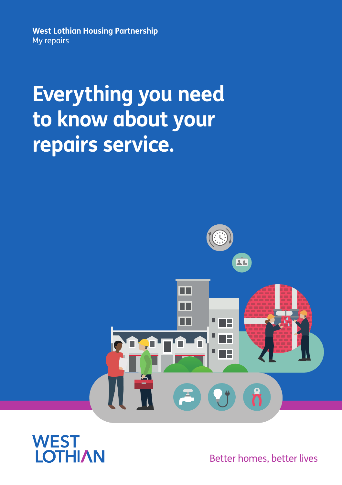**West Lothian Housing Partnership** My repairs

# **Everything you need to know about your repairs service.**





Better homes, better lives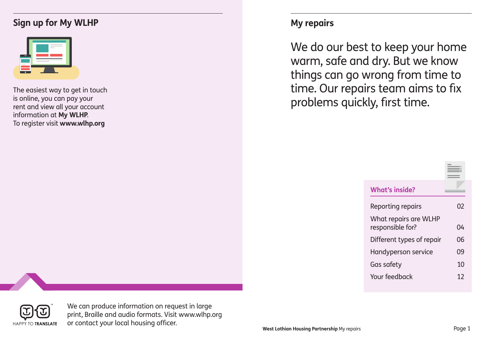### **Sign up for My WLHP My repairs**

| <br><b>Contract Contract</b> | <b>Contract Contract</b><br>the control of the control of the |  |
|------------------------------|---------------------------------------------------------------|--|
|                              |                                                               |  |

The easiest way to get in touch is online, you can pay your rent and view all your account information at **My WLHP**. To register visit **www.wlhp.org**

We do our best to keep your home warm, safe and dry. But we know things can go wrong from time to time. Our repairs team aims to fix problems quickly, first time.

| <b>What's inside?</b>                     |    |
|-------------------------------------------|----|
| <b>Reporting repairs</b>                  | 02 |
| What repairs are WLHP<br>responsible for? | 04 |
| Different types of repair                 | 06 |
| Handyperson service                       | 09 |
| Gas safety                                | 10 |
| Your feedback                             | 12 |



We can produce information on request in large print, Braille and audio formats. Visit www.wlhp.org or contact your local housing officer.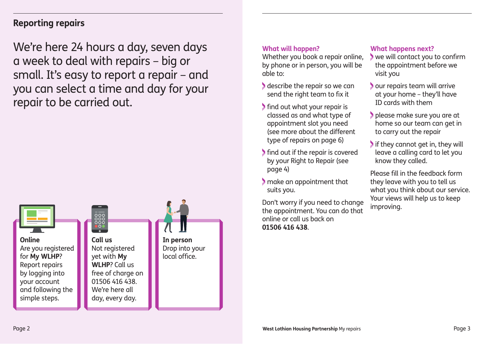### **Reporting repairs**

We're here 24 hours a day, seven days a week to deal with repairs – big or small. It's easy to report a repair – and you can select a time and day for your repair to be carried out.



#### **What will happen?**

Whether you book a repair online, by phone or in person, you will be able to:

- describe the repair so we can send the right team to fix it
- find out what your repair is classed as and what type of appointment slot you need (see more about the different type of repairs on page 6)
- find out if the repair is covered by your Right to Repair (see page 4)
- make an appointment that suits you.

Don't worry if you need to change the appointment. You can do that online or call us back on **01506 416 438**.

#### **What happens next?**

- we will contact you to confirm the appointment before we visit you
- our repairs team will arrive at your home – they'll have ID cards with them
- please make sure you are at home so our team can get in to carry out the repair
- If they cannot get in, they will leave a calling card to let you know they called.

Please fill in the feedback form they leave with you to tell us what you think about our service. Your views will help us to keep improving.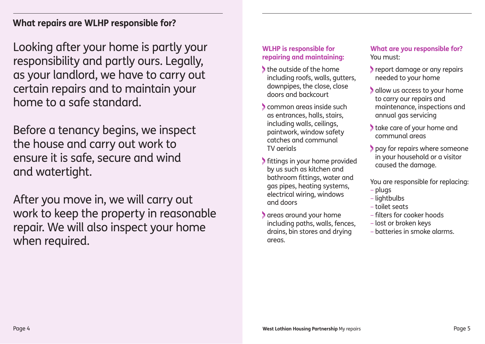**What repairs are WLHP responsible for?** 

Looking after your home is partly your responsibility and partly ours. Legally, as your landlord, we have to carry out certain repairs and to maintain your home to a safe standard.

Before a tenancy begins, we inspect the house and carry out work to ensure it is safe, secure and wind and watertight.

After you move in, we will carry out work to keep the property in reasonable repair. We will also inspect your home when required.

### **WLHP is responsible for repairing and maintaining:**

- the outside of the home including roofs, walls, gutters, downpipes, the close, close doors and backcourt
- common areas inside such as entrances, halls, stairs, including walls, ceilings, paintwork, window safety catches and communal TV aerials
- fittings in your home provided by us such as kitchen and bathroom fittings, water and gas pipes, heating systems, electrical wiring, windows and doors
- areas around your home including paths, walls, fences, drains, bin stores and drying areas.

#### **What are you responsible for?** You must:

- report damage or any repairs needed to your home
- allow us access to your home to carry our repairs and maintenance, inspections and annual gas servicing
- take care of your home and communal areas
- **pay for repairs where someone** in your household or a visitor caused the damage.

You are responsible for replacing:

- plugs
- lightbulbs
- toilet seats
- filters for cooker hoods
- lost or broken keys
- batteries in smoke alarms.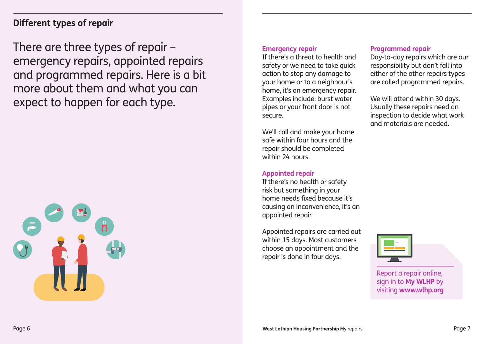### **Different types of repair**

There are three types of repair – emergency repairs, appointed repairs and programmed repairs. Here is a bit more about them and what you can expect to happen for each type.



#### **Emergency repair**

If there's a threat to health and safety or we need to take quick action to stop any damage to your home or to a neighbour's home, it's an emergency repair. Examples include: burst water pipes or your front door is not secure.

We'll call and make your home safe within four hours and the repair should be completed within 24 hours.

#### **Appointed repair**

If there's no health or safety risk but something in your home needs fixed because it's causing an inconvenience, it's an appointed repair.

Appointed repairs are carried out within 15 days. Most customers choose an appointment and the repair is done in four days.

#### **Programmed repair**

Day-to-day repairs which are our responsibility but don't fall into either of the other repairs types are called programmed repairs.

We will attend within 30 days. Usually these repairs need an inspection to decide what work and materials are needed.



Report a repair online, sign in to **My WLHP** by visiting **www.wlhp.org**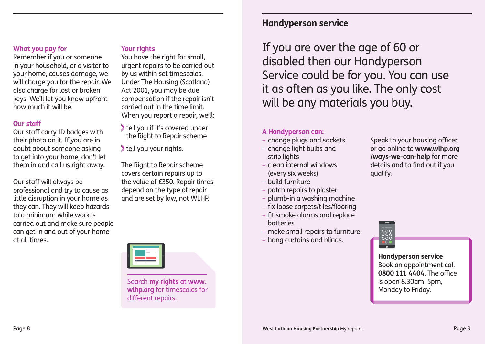#### **What you pay for**

Remember if you or someone in your household, or a visitor to your home, causes damage, we will charge you for the repair. We also charge for lost or broken keys. We'll let you know upfront how much it will be.

#### **Our staff**

Our staff carry ID badges with their photo on it. If you are in doubt about someone asking to get into your home, don't let them in and call us right away.

Our staff will always be professional and try to cause as little disruption in your home as they can. They will keep hazards to a minimum while work is carried out and make sure people can get in and out of your home at all times.

#### **Your rights**

You have the right for small. urgent repairs to be carried out by us within set timescales. Under The Housing (Scotland) Act 2001, you may be due compensation if the repair isn't carried out in the time limit. When you report a repair, we'll:

- tell you if it's covered under the Right to Repair scheme
- tell you your rights.

The Right to Repair scheme covers certain repairs up to the value of £350. Repair times depend on the type of repair and are set by law, not WLHP.



Search **my rights** at **www. wlhp.org** for timescales for different repairs.

### **Handyperson service**

If you are over the age of 60 or disabled then our Handyperson Service could be for you. You can use it as often as you like. The only cost will be any materials you buy.

#### **A Handyperson can:**

- change plugs and sockets
- change light bulbs and strip lights
- clean internal windows (every six weeks)
- build furniture
- patch repairs to plaster
- plumb-in a washing machine
- fix loose carpets/tiles/flooring
- fit smoke alarms and replace batteries
- make small repairs to furniture
- hang curtains and blinds.

Speak to your housing officer or go online to **www.wlhp.org /ways-we-can-help** for more details and to find out if you qualify.



#### **Handyperson service** Book an appointment call **0800 111 4404.** The office is open 8.30am–5pm, Monday to Friday.

Page 8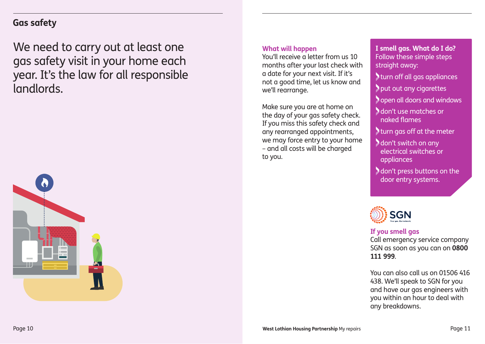### **Gas safety**

We need to carry out at least one gas safety visit in your home each year. It's the law for all responsible landlords.



#### **What will happen**

You'll receive a letter from us 10 months after your last check with a date for your next visit. If it's not a good time, let us know and we'll rearrange.

Make sure you are at home on the day of your gas safety check. If you miss this safety check and any rearranged appointments, we may force entry to your home – and all costs will be charged to you.

**I smell gas. What do I do?** Follow these simple steps straight away:

turn off all gas appliances

put out any cigarettes

**Sopen all doors and windows** 

 don't use matches or naked flames

turn gas off at the meter

 don't switch on any electrical switches or appliances

 don't press buttons on the door entry systems.



#### **If you smell gas**

Call emergency service company SGN as soon as you can on **0800 111 999**.

You can also call us on 01506 416 438. We'll speak to SGN for you and have our gas engineers with you within an hour to deal with any breakdowns.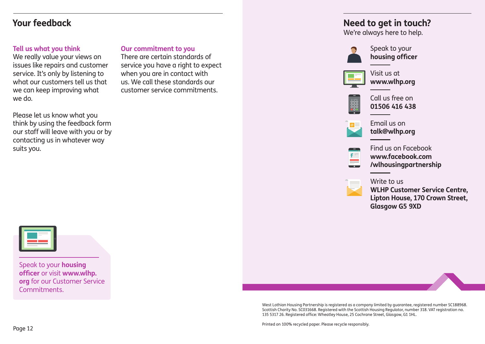### **Your feedback**

#### **Tell us what you think**

We really value your views on issues like repairs and customer service. It's only by listening to what our customers tell us that we can keep improving what we do.

Please let us know what you think by using the feedback form our staff will leave with you or by contacting us in whatever way suits you.

#### **Our commitment to you**

There are certain standards of service you have a right to expect when you are in contact with us. We call these standards our customer service commitments.

### **Need to get in touch?**

We're always here to help.



Speak to your **housing officer**



Visit us at **www.wlhp.org**



Call us free on **01506 416 438**



Email us on **talk@wlhp.org**



Find us on Facebook **www.facebook.com /wlhousingpartnership**



**WLHP Customer Service Centre, Lipton House, 170 Crown Street, Glasgow G5 9XD**



Speak to your **housing officer** or visit **www.wlhp. org** for our Customer Service Commitments.

> West Lothian Housing Partnership is registered as a company limited by guarantee, registered number SC188968. Scottish Charity No. SC031668. Registered with the Scottish Housing Regulator, number 318. VAT registration no. 135 5317 26. Registered office: Wheatley House, 25 Cochrane Street, Glasgow, G1 1HL.

Printed on 100% recycled paper. Please recycle responsibly.